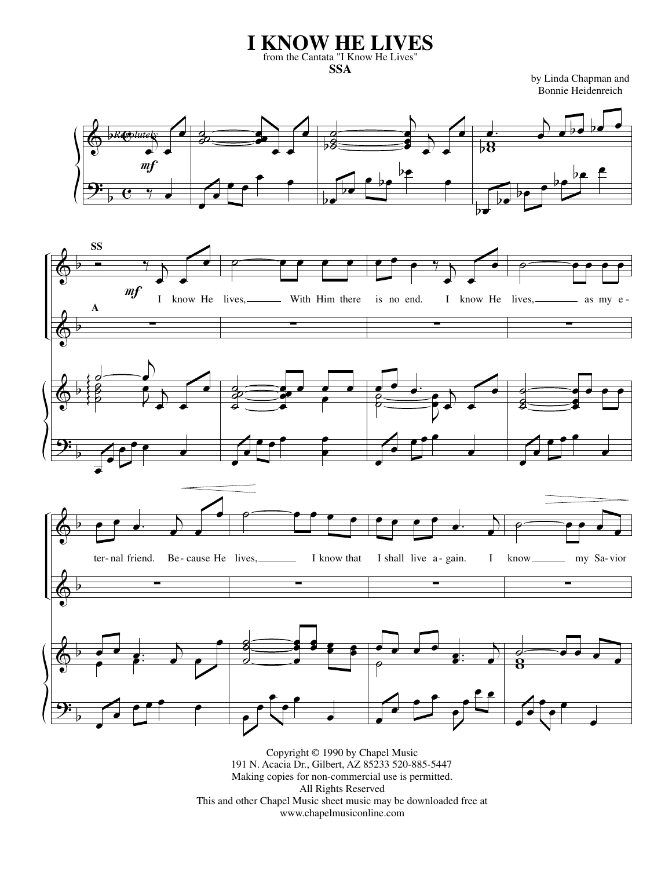## **I KNOW HE LIVES** from the Cantata "I Know He Lives" **SSA**

by Linda Chapman and Bonnie Heidenreich





Copyright © 1990 by Chapel Music 191 N. Acacia Dr., Gilbert, AZ 85233 520-885-5447 Making copies for non-commercial use is permitted. All Rights Reserved This and other Chapel Music sheet music may be downloaded free at www.chapelmusiconline.com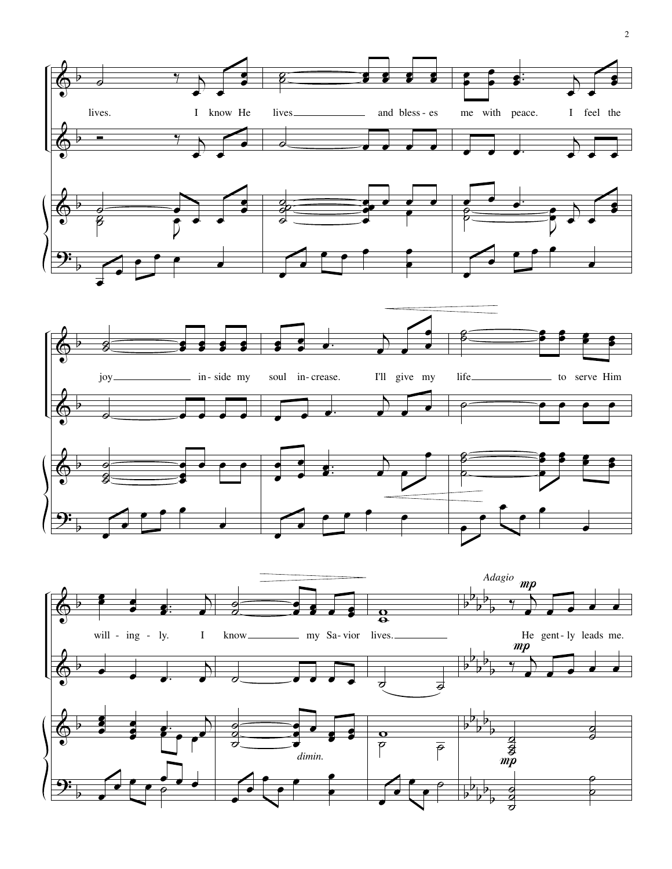



 $\pmb{\phi}$ 

b

 $\overline{g}$ ˙  $\frac{\sigma}{\sigma}$ 

œ œ œ œ e<br>S

 $\qquad \qquad \bullet$ 

 $\overrightarrow{e}$ 

œ œ

œ

œ œ

œ

.  $\cdot$ 

 $\overline{b}$  $\rightarrow$ 

**。。。** 

œ

˙ 。<br>⊘  $\beta$ 

œ

œ

œ

œ œ

œ œ œ œ  $\frac{2}{\pi}$ 

<mark>s</mark> œ

œ

œ

b

<u>9:</u>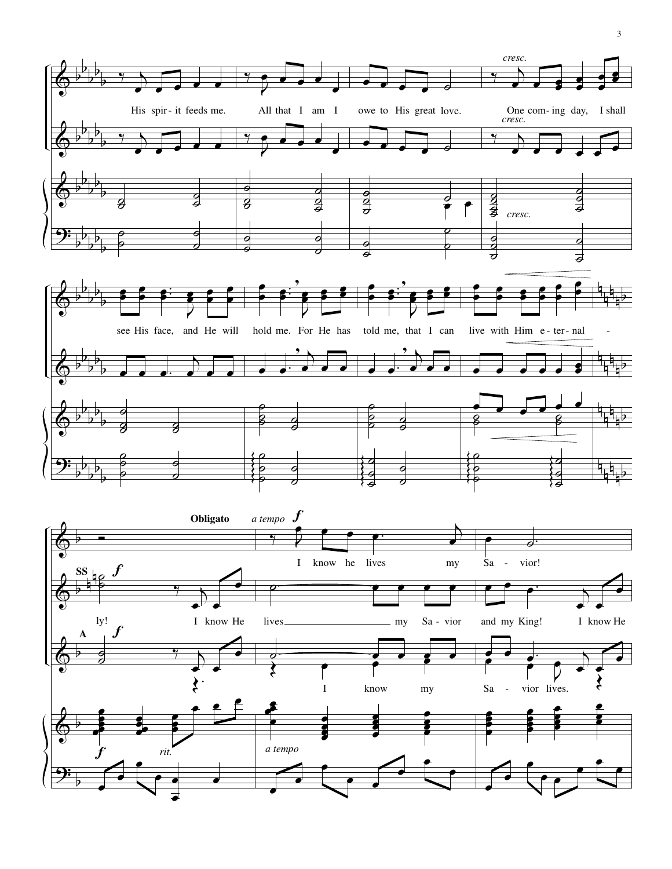